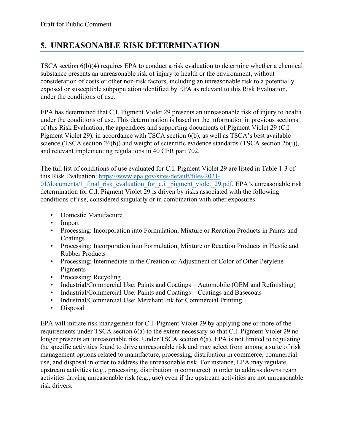# **5. UNREASONABLE RISK DETERMINATION**

TSCA section 6(b)(4) requires EPA to conduct a risk evaluation to determine whether a chemical substance presents an unreasonable risk of injury to health or the environment, without consideration of costs or other non-risk factors, including an unreasonable risk to a potentially exposed or susceptible subpopulation identified by EPA as relevant to this Risk Evaluation, under the conditions of use.

EPA has determined that C.I. Pigment Violet 29 presents an unreasonable risk of injury to health under the conditions of use. This determination is based on the information in previous sections of this Risk Evaluation, the appendices and supporting documents of Pigment Violet 29 (C.I. Pigment Violet 29), in accordance with TSCA section 6(b), as well as TSCA's best available science (TSCA section 26(h)) and weight of scientific evidence standards (TSCA section 26(i)), and relevant implementing regulations in 40 CFR part 702.

The full list of conditions of use evaluated for C.I. Pigment Violet 29 are listed in Table 1-3 of this Risk Evaluation: [https://www.epa.gov/sites/default/files/2021-](https://www.epa.gov/sites/default/files/2021-01/documents/1_final_risk_evaluation_for_c.i._pigment_violet_29.pdf) 01/documents/1 final risk evaluation for c.i. pigment violet 29.pdf. EPA's unreasonable risk determination for C.I. Pigment Violet 29 is driven by risks associated with the following conditions of use, considered singularly or in combination with other exposures:

- Domestic Manufacture
- Import
- Processing: Incorporation into Formulation, Mixture or Reaction Products in Paints and Coatings
- Processing: Incorporation into Formulation, Mixture or Reaction Products in Plastic and Rubber Products
- Processing: Intermediate in the Creation or Adjustment of Color of Other Perylene Pigments
- Processing: Recycling
- Industrial/Commercial Use: Paints and Coatings Automobile (OEM and Refinishing)
- Industrial/Commercial Use: Paints and Coatings Coatings and Basecoats
- Industrial/Commercial Use: Merchant Ink for Commercial Printing
- Disposal

EPA will initiate risk management for C.I. Pigment Violet 29 by applying one or more of the requirements under TSCA section 6(a) to the extent necessary so that C.I. Pigment Violet 29 no longer presents an unreasonable risk. Under TSCA section 6(a), EPA is not limited to regulating the specific activities found to drive unreasonable risk and may select from among a suite of risk management options related to manufacture, processing, distribution in commerce, commercial use, and disposal in order to address the unreasonable risk. For instance, EPA may regulate upstream activities (e.g., processing, distribution in commerce) in order to address downstream activities driving unreasonable risk (e.g., use) even if the upstream activities are not unreasonable risk drivers.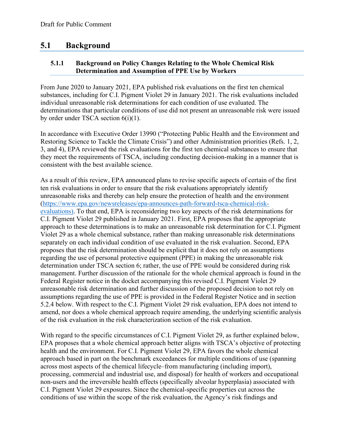# **5.1 Background**

#### **5.1.1 Background on Policy Changes Relating to the Whole Chemical Risk Determination and Assumption of PPE Use by Workers**

From June 2020 to January 2021, EPA published risk evaluations on the first ten chemical substances, including for C.I. Pigment Violet 29 in January 2021. The risk evaluations included individual unreasonable risk determinations for each condition of use evaluated. The determinations that particular conditions of use did not present an unreasonable risk were issued by order under TSCA section 6(i)(1).

In accordance with Executive Order 13990 ("Protecting Public Health and the Environment and Restoring Science to Tackle the Climate Crisis") and other Administration priorities (Refs. 1, 2, 3, and 4), EPA reviewed the risk evaluations for the first ten chemical substances to ensure that they meet the requirements of TSCA, including conducting decision-making in a manner that is consistent with the best available science.

As a result of this review, EPA announced plans to revise specific aspects of certain of the first ten risk evaluations in order to ensure that the risk evaluations appropriately identify unreasonable risks and thereby can help ensure the protection of health and the environment [\(https://www.epa.gov/newsreleases/epa-announces-path-forward-tsca-chemical-risk](https://www.epa.gov/newsreleases/epa-announces-path-forward-tsca-chemical-risk-evaluations)[evaluations\)](https://www.epa.gov/newsreleases/epa-announces-path-forward-tsca-chemical-risk-evaluations). To that end, EPA is reconsidering two key aspects of the risk determinations for C.I. Pigment Violet 29 published in January 2021. First, EPA proposes that the appropriate approach to these determinations is to make an unreasonable risk determination for C.I. Pigment Violet 29 as a whole chemical substance, rather than making unreasonable risk determinations separately on each individual condition of use evaluated in the risk evaluation. Second, EPA proposes that the risk determination should be explicit that it does not rely on assumptions regarding the use of personal protective equipment (PPE) in making the unreasonable risk determination under TSCA section 6; rather, the use of PPE would be considered during risk management. Further discussion of the rationale for the whole chemical approach is found in the Federal Register notice in the docket accompanying this revised C.I. Pigment Violet 29 unreasonable risk determination and further discussion of the proposed decision to not rely on assumptions regarding the use of PPE is provided in the Federal Register Notice and in section 5.2.4 below. With respect to the C.I. Pigment Violet 29 risk evaluation, EPA does not intend to amend, nor does a whole chemical approach require amending, the underlying scientific analysis of the risk evaluation in the risk characterization section of the risk evaluation.

With regard to the specific circumstances of C.I. Pigment Violet 29, as further explained below, EPA proposes that a whole chemical approach better aligns with TSCA's objective of protecting health and the environment. For C.I. Pigment Violet 29, EPA favors the whole chemical approach based in part on the benchmark exceedances for multiple conditions of use (spanning across most aspects of the chemical lifecycle–from manufacturing (including import), processing, commercial and industrial use, and disposal) for health of workers and occupational non-users and the irreversible health effects (specifically alveolar hyperplasia) associated with C.I. Pigment Violet 29 exposures. Since the chemical-specific properties cut across the conditions of use within the scope of the risk evaluation, the Agency's risk findings and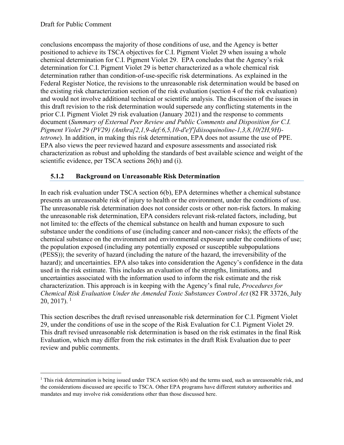conclusions encompass the majority of those conditions of use, and the Agency is better positioned to achieve its TSCA objectives for C.I. Pigment Violet 29 when issuing a whole chemical determination for C.I. Pigment Violet 29. EPA concludes that the Agency's risk determination for C.I. Pigment Violet 29 is better characterized as a whole chemical risk determination rather than condition-of-use-specific risk determinations. As explained in the Federal Register Notice, the revisions to the unreasonable risk determination would be based on the existing risk characterization section of the risk evaluation (section 4 of the risk evaluation) and would not involve additional technical or scientific analysis. The discussion of the issues in this draft revision to the risk determination would supersede any conflicting statements in the prior C.I. Pigment Violet 29 risk evaluation (January 2021) and the response to comments document (*Summary of External Peer Review and Public Comments and Disposition for C.I. Pigment Violet 29 (PV29) (Anthra[2,1,9-def:6,5,10-d'e'f']diisoquinoline-1,3,8,10(2H,9H) tetrone*). In addition, in making this risk determination, EPA does not assume the use of PPE. EPA also views the peer reviewed hazard and exposure assessments and associated risk characterization as robust and upholding the standards of best available science and weight of the scientific evidence, per TSCA sections 26(h) and (i).

#### **5.1.2 Background on Unreasonable Risk Determination**

In each risk evaluation under TSCA section 6(b), EPA determines whether a chemical substance presents an unreasonable risk of injury to health or the environment, under the conditions of use. The unreasonable risk determination does not consider costs or other non-risk factors. In making the unreasonable risk determination, EPA considers relevant risk-related factors, including, but not limited to: the effects of the chemical substance on health and human exposure to such substance under the conditions of use (including cancer and non-cancer risks); the effects of the chemical substance on the environment and environmental exposure under the conditions of use; the population exposed (including any potentially exposed or susceptible subpopulations (PESS)); the severity of hazard (including the nature of the hazard, the irreversibility of the hazard); and uncertainties. EPA also takes into consideration the Agency's confidence in the data used in the risk estimate. This includes an evaluation of the strengths, limitations, and uncertainties associated with the information used to inform the risk estimate and the risk characterization. This approach is in keeping with the Agency's final rule, *Procedures for Chemical Risk Evaluation Under the Amended Toxic Substances Control Act* (82 FR 33726, July  $20, 2017$  $20, 2017$  $20, 2017$ ). <sup>1</sup>

This section describes the draft revised unreasonable risk determination for C.I. Pigment Violet 29, under the conditions of use in the scope of the Risk Evaluation for C.I. Pigment Violet 29. This draft revised unreasonable risk determination is based on the risk estimates in the final Risk Evaluation, which may differ from the risk estimates in the draft Risk Evaluation due to peer review and public comments.

<span id="page-2-0"></span><sup>&</sup>lt;sup>1</sup> This risk determination is being issued under TSCA section 6(b) and the terms used, such as unreasonable risk, and the considerations discussed are specific to TSCA. Other EPA programs have different statutory authorities and mandates and may involve risk considerations other than those discussed here.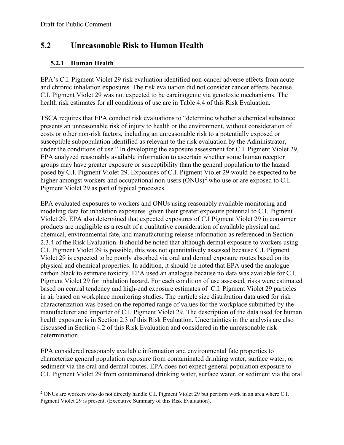## **5.2 Unreasonable Risk to Human Health**

#### **5.2.1 Human Health**

EPA's C.I. Pigment Violet 29 risk evaluation identified non-cancer adverse effects from acute and chronic inhalation exposures. The risk evaluation did not consider cancer effects because C.I. Pigment Violet 29 was not expected to be carcinogenic via genotoxic mechanisms. The health risk estimates for all conditions of use are in Table 4.4 of this Risk Evaluation.

TSCA requires that EPA conduct risk evaluations to "determine whether a chemical substance presents an unreasonable risk of injury to health or the environment, without consideration of costs or other non-risk factors, including an unreasonable risk to a potentially exposed or susceptible subpopulation identified as relevant to the risk evaluation by the Administrator, under the conditions of use." In developing the exposure assessment for C.I. Pigment Violet 29, EPA analyzed reasonably available information to ascertain whether some human receptor groups may have greater exposure or susceptibility than the general population to the hazard posed by C.I. Pigment Violet 29. Exposures of C.I. Pigment Violet 29 would be expected to be higher amongst workers and occupational non-users  $(ONUs)^2$  $(ONUs)^2$  who use or are exposed to C.I. Pigment Violet 29 as part of typical processes.

EPA evaluated exposures to workers and ONUs using reasonably available monitoring and modeling data for inhalation exposures given their greater exposure potential to C.I. Pigment Violet 29. EPA also determined that expected exposures of C.I Pigment Violet 29 in consumer products are negligible as a result of a qualitative consideration of available physical and chemical, environmental fate, and manufacturing release information as referenced in Section 2.3.4 of the Risk Evaluation. It should be noted that although dermal exposure to workers using C.I. Pigment Violet 29 is possible, this was not quantitatively assessed because C.I. Pigment Violet 29 is expected to be poorly absorbed via oral and dermal exposure routes based on its physical and chemical properties. In addition, it should be noted that EPA used the analogue carbon black to estimate toxicity. EPA used an analogue because no data was available for C.I. Pigment Violet 29 for inhalation hazard. For each condition of use assessed, risks were estimated based on central tendency and high-end exposure estimates of C.I. Pigment Violet 29 particles in air based on workplace monitoring studies. The particle size distribution data used for risk characterization was based on the reported range of values for the workplace submitted by the manufacturer and importer of C.I. Pigment Violet 29. The description of the data used for human health exposure is in Section 2.3 of this Risk Evaluation. Uncertainties in the analysis are also discussed in Section 4.2 of this Risk Evaluation and considered in the unreasonable risk determination.

EPA considered reasonably available information and environmental fate properties to characterize general population exposure from contaminated drinking water, surface water, or sediment via the oral and dermal routes. EPA does not expect general population exposure to C.I. Pigment Violet 29 from contaminated drinking water, surface water, or sediment via the oral

<span id="page-3-0"></span><sup>&</sup>lt;sup>2</sup> ONUs are workers who do not directly handle C.I. Pigment Violet 29 but perform work in an area where C.I. Pigment Violet 29 is present. (Executive Summary of this Risk Evaluation).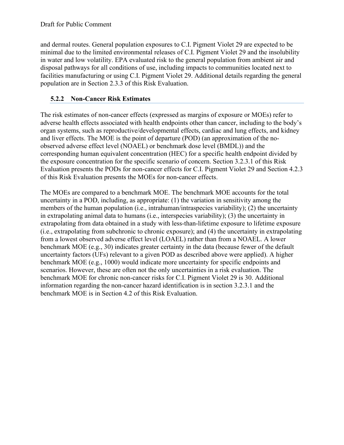and dermal routes. General population exposures to C.I. Pigment Violet 29 are expected to be minimal due to the limited environmental releases of C.I. Pigment Violet 29 and the insolubility in water and low volatility. EPA evaluated risk to the general population from ambient air and disposal pathways for all conditions of use, including impacts to communities located next to facilities manufacturing or using C.I. Pigment Violet 29. Additional details regarding the general population are in Section 2.3.3 of this Risk Evaluation.

#### **5.2.2 Non-Cancer Risk Estimates**

The risk estimates of non-cancer effects (expressed as margins of exposure or MOEs) refer to adverse health effects associated with health endpoints other than cancer, including to the body's organ systems, such as reproductive/developmental effects, cardiac and lung effects, and kidney and liver effects. The MOE is the point of departure (POD) (an approximation of the noobserved adverse effect level (NOAEL) or benchmark dose level (BMDL)) and the corresponding human equivalent concentration (HEC) for a specific health endpoint divided by the exposure concentration for the specific scenario of concern. Section 3.2.3.1 of this Risk Evaluation presents the PODs for non-cancer effects for C.I. Pigment Violet 29 and Section 4.2.3 of this Risk Evaluation presents the MOEs for non-cancer effects.

The MOEs are compared to a benchmark MOE. The benchmark MOE accounts for the total uncertainty in a POD, including, as appropriate: (1) the variation in sensitivity among the members of the human population (i.e., intrahuman/intraspecies variability); (2) the uncertainty in extrapolating animal data to humans (i.e., interspecies variability); (3) the uncertainty in extrapolating from data obtained in a study with less-than-lifetime exposure to lifetime exposure (i.e., extrapolating from subchronic to chronic exposure); and (4) the uncertainty in extrapolating from a lowest observed adverse effect level (LOAEL) rather than from a NOAEL. A lower benchmark MOE (e.g., 30) indicates greater certainty in the data (because fewer of the default uncertainty factors (UFs) relevant to a given POD as described above were applied). A higher benchmark MOE (e.g., 1000) would indicate more uncertainty for specific endpoints and scenarios. However, these are often not the only uncertainties in a risk evaluation. The benchmark MOE for chronic non-cancer risks for C.I. Pigment Violet 29 is 30. Additional information regarding the non-cancer hazard identification is in section 3.2.3.1 and the benchmark MOE is in Section 4.2 of this Risk Evaluation.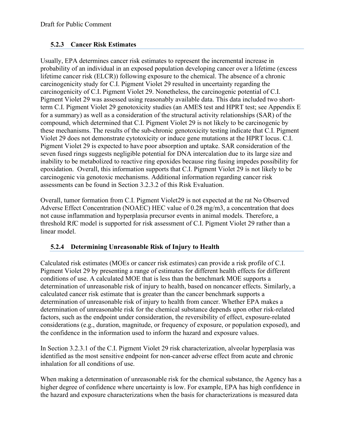#### **5.2.3 Cancer Risk Estimates**

Usually, EPA determines cancer risk estimates to represent the incremental increase in probability of an individual in an exposed population developing cancer over a lifetime (excess lifetime cancer risk (ELCR)) following exposure to the chemical. The absence of a chronic carcinogenicity study for C.I. Pigment Violet 29 resulted in uncertainty regarding the carcinogenicity of C.I. Pigment Violet 29. Nonetheless, the carcinogenic potential of C.I. Pigment Violet 29 was assessed using reasonably available data. This data included two shortterm C.I. Pigment Violet 29 genotoxicity studies (an AMES test and HPRT test; see Appendix E for a summary) as well as a consideration of the structural activity relationships (SAR) of the compound, which determined that C.I. Pigment Violet 29 is not likely to be carcinogenic by these mechanisms. The results of the sub-chronic genotoxicity testing indicate that C.I. Pigment Violet 29 does not demonstrate cytotoxicity or induce gene mutations at the HPRT locus. C.I. Pigment Violet 29 is expected to have poor absorption and uptake. SAR consideration of the seven fused rings suggests negligible potential for DNA intercalation due to its large size and inability to be metabolized to reactive ring epoxides because ring fusing impedes possibility for epoxidation. Overall, this information supports that C.I. Pigment Violet 29 is not likely to be carcinogenic via genotoxic mechanisms. Additional information regarding cancer risk assessments can be found in Section 3.2.3.2 of this Risk Evaluation.

Overall, tumor formation from C.I. Pigment Violet29 is not expected at the rat No Observed Adverse Effect Concentration (NOAEC) HEC value of 0.28 mg/m3, a concentration that does not cause inflammation and hyperplasia precursor events in animal models. Therefore, a threshold RfC model is supported for risk assessment of C.I. Pigment Violet 29 rather than a linear model.

#### **5.2.4 Determining Unreasonable Risk of Injury to Health**

Calculated risk estimates (MOEs or cancer risk estimates) can provide a risk profile of C.I. Pigment Violet 29 by presenting a range of estimates for different health effects for different conditions of use. A calculated MOE that is less than the benchmark MOE supports a determination of unreasonable risk of injury to health, based on noncancer effects. Similarly, a calculated cancer risk estimate that is greater than the cancer benchmark supports a determination of unreasonable risk of injury to health from cancer. Whether EPA makes a determination of unreasonable risk for the chemical substance depends upon other risk-related factors, such as the endpoint under consideration, the reversibility of effect, exposure-related considerations (e.g., duration, magnitude, or frequency of exposure, or population exposed), and the confidence in the information used to inform the hazard and exposure values.

In Section 3.2.3.1 of the C.I. Pigment Violet 29 risk characterization, alveolar hyperplasia was identified as the most sensitive endpoint for non-cancer adverse effect from acute and chronic inhalation for all conditions of use.

When making a determination of unreasonable risk for the chemical substance, the Agency has a higher degree of confidence where uncertainty is low. For example, EPA has high confidence in the hazard and exposure characterizations when the basis for characterizations is measured data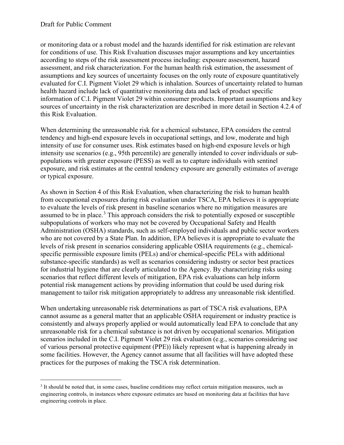or monitoring data or a robust model and the hazards identified for risk estimation are relevant for conditions of use. This Risk Evaluation discusses major assumptions and key uncertainties according to steps of the risk assessment process including: exposure assessment, hazard assessment, and risk characterization. For the human health risk estimation, the assessment of assumptions and key sources of uncertainty focuses on the only route of exposure quantitatively evaluated for C.I. Pigment Violet 29 which is inhalation. Sources of uncertainty related to human health hazard include lack of quantitative monitoring data and lack of product specific information of C.I. Pigment Violet 29 within consumer products. Important assumptions and key sources of uncertainty in the risk characterization are described in more detail in Section 4.2.4 of this Risk Evaluation.

When determining the unreasonable risk for a chemical substance, EPA considers the central tendency and high-end exposure levels in occupational settings, and low, moderate and high intensity of use for consumer uses. Risk estimates based on high-end exposure levels or high intensity use scenarios (e.g., 95th percentile) are generally intended to cover individuals or subpopulations with greater exposure (PESS) as well as to capture individuals with sentinel exposure, and risk estimates at the central tendency exposure are generally estimates of average or typical exposure.

As shown in Section 4 of this Risk Evaluation, when characterizing the risk to human health from occupational exposures during risk evaluation under TSCA, EPA believes it is appropriate to evaluate the levels of risk present in baseline scenarios where no mitigation measures are assumed to be in place.<sup>[3](#page-6-0)</sup> This approach considers the risk to potentially exposed or susceptible subpopulations of workers who may not be covered by Occupational Safety and Health Administration (OSHA) standards, such as self-employed individuals and public sector workers who are not covered by a State Plan. In addition, EPA believes it is appropriate to evaluate the levels of risk present in scenarios considering applicable OSHA requirements (e.g., chemicalspecific permissible exposure limits (PELs) and/or chemical-specific PELs with additional substance-specific standards) as well as scenarios considering industry or sector best practices for industrial hygiene that are clearly articulated to the Agency. By characterizing risks using scenarios that reflect different levels of mitigation, EPA risk evaluations can help inform potential risk management actions by providing information that could be used during risk management to tailor risk mitigation appropriately to address any unreasonable risk identified.

When undertaking unreasonable risk determinations as part of TSCA risk evaluations, EPA cannot assume as a general matter that an applicable OSHA requirement or industry practice is consistently and always properly applied or would automatically lead EPA to conclude that any unreasonable risk for a chemical substance is not driven by occupational scenarios. Mitigation scenarios included in the C.I. Pigment Violet 29 risk evaluation (e.g., scenarios considering use of various personal protective equipment (PPE)) likely represent what is happening already in some facilities. However, the Agency cannot assume that all facilities will have adopted these practices for the purposes of making the TSCA risk determination.

<span id="page-6-0"></span><sup>3</sup> It should be noted that, in some cases, baseline conditions may reflect certain mitigation measures, such as engineering controls, in instances where exposure estimates are based on monitoring data at facilities that have engineering controls in place.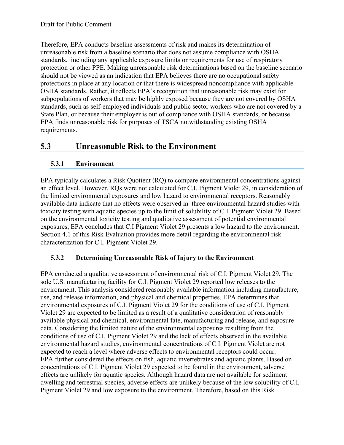Therefore, EPA conducts baseline assessments of risk and makes its determination of unreasonable risk from a baseline scenario that does not assume compliance with OSHA standards, including any applicable exposure limits or requirements for use of respiratory protection or other PPE. Making unreasonable risk determinations based on the baseline scenario should not be viewed as an indication that EPA believes there are no occupational safety protections in place at any location or that there is widespread noncompliance with applicable OSHA standards. Rather, it reflects EPA's recognition that unreasonable risk may exist for subpopulations of workers that may be highly exposed because they are not covered by OSHA standards, such as self-employed individuals and public sector workers who are not covered by a State Plan, or because their employer is out of compliance with OSHA standards, or because EPA finds unreasonable risk for purposes of TSCA notwithstanding existing OSHA requirements.

# **5.3 Unreasonable Risk to the Environment**

### **5.3.1 Environment**

EPA typically calculates a Risk Quotient (RQ) to compare environmental concentrations against an effect level. However, RQs were not calculated for C.I. Pigment Violet 29, in consideration of the limited environmental exposures and low hazard to environmental receptors. Reasonably available data indicate that no effects were observed in three environmental hazard studies with toxicity testing with aquatic species up to the limit of solubility of C.I. Pigment Violet 29. Based on the environmental toxicity testing and qualitative assessment of potential environmental exposures, EPA concludes that C.I Pigment Violet 29 presents a low hazard to the environment. Section 4.1 of this Risk Evaluation provides more detail regarding the environmental risk characterization for C.I. Pigment Violet 29.

#### **5.3.2 Determining Unreasonable Risk of Injury to the Environment**

EPA conducted a qualitative assessment of environmental risk of C.I. Pigment Violet 29. The sole U.S. manufacturing facility for C.I. Pigment Violet 29 reported low releases to the environment. This analysis considered reasonably available information including manufacture, use, and release information, and physical and chemical properties. EPA determines that environmental exposures of C.I. Pigment Violet 29 for the conditions of use of C.I. Pigment Violet 29 are expected to be limited as a result of a qualitative consideration of reasonably available physical and chemical, environmental fate, manufacturing and release, and exposure data. Considering the limited nature of the environmental exposures resulting from the conditions of use of C.I. Pigment Violet 29 and the lack of effects observed in the available environmental hazard studies, environmental concentrations of C.I. Pigment Violet are not expected to reach a level where adverse effects to environmental receptors could occur. EPA further considered the effects on fish, aquatic invertebrates and aquatic plants. Based on concentrations of C.I. Pigment Violet 29 expected to be found in the environment, adverse effects are unlikely for aquatic species. Although hazard data are not available for sediment dwelling and terrestrial species, adverse effects are unlikely because of the low solubility of C.I. Pigment Violet 29 and low exposure to the environment. Therefore, based on this Risk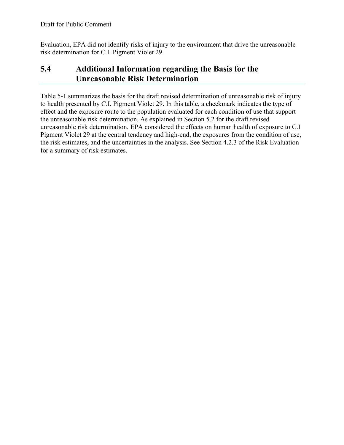Evaluation, EPA did not identify risks of injury to the environment that drive the unreasonable risk determination for C.I. Pigment Violet 29.

# **5.4 Additional Information regarding the Basis for the Unreasonable Risk Determination**

Table 5-1 summarizes the basis for the draft revised determination of unreasonable risk of injury to health presented by C.I. Pigment Violet 29. In this table, a checkmark indicates the type of effect and the exposure route to the population evaluated for each condition of use that support the unreasonable risk determination. As explained in Section 5.2 for the draft revised unreasonable risk determination, EPA considered the effects on human health of exposure to C.I Pigment Violet 29 at the central tendency and high-end, the exposures from the condition of use, the risk estimates, and the uncertainties in the analysis. See Section 4.2.3 of the Risk Evaluation for a summary of risk estimates.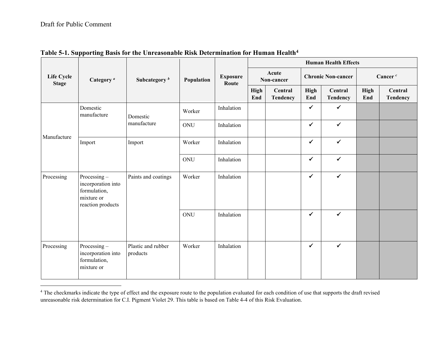| Life Cycle<br><b>Stage</b> | Category <sup>a</sup>                                                                |                                | Population | <b>Exposure</b><br>Route | <b>Human Health Effects</b> |                     |                           |                     |                    |                            |
|----------------------------|--------------------------------------------------------------------------------------|--------------------------------|------------|--------------------------|-----------------------------|---------------------|---------------------------|---------------------|--------------------|----------------------------|
|                            |                                                                                      | Subcategory <sup>b</sup>       |            |                          | Acute<br>Non-cancer         |                     | <b>Chronic Non-cancer</b> |                     | Cancer $c$         |                            |
|                            |                                                                                      |                                |            |                          | High<br>End                 | Central<br>Tendency | High<br>End               | Central<br>Tendency | <b>High</b><br>End | Central<br><b>Tendency</b> |
| Manufacture                | Domestic<br>manufacture                                                              | Domestic                       | Worker     | Inhalation               |                             |                     | $\checkmark$              | $\checkmark$        |                    |                            |
|                            |                                                                                      | manufacture                    | ONU        | Inhalation               |                             |                     | $\checkmark$              | $\checkmark$        |                    |                            |
|                            | Import                                                                               | Import                         | Worker     | Inhalation               |                             |                     | $\checkmark$              | $\checkmark$        |                    |                            |
|                            |                                                                                      |                                | ONU        | Inhalation               |                             |                     | $\checkmark$              | $\checkmark$        |                    |                            |
| Processing                 | Processing-<br>incorporation into<br>formulation,<br>mixture or<br>reaction products | Paints and coatings            | Worker     | Inhalation               |                             |                     | $\checkmark$              | $\checkmark$        |                    |                            |
|                            |                                                                                      |                                | ONU        | Inhalation               |                             |                     | ✓                         | $\checkmark$        |                    |                            |
| Processing                 | Processing-<br>incorporation into<br>formulation,<br>mixture or                      | Plastic and rubber<br>products | Worker     | Inhalation               |                             |                     | $\checkmark$              | $\checkmark$        |                    |                            |

#### <span id="page-9-0"></span>**Table 5-1. Supporting Basis for the Unreasonable Risk Determination for Human Health[4](#page-9-0)**

<sup>&</sup>lt;sup>4</sup> The checkmarks indicate the type of effect and the exposure route to the population evaluated for each condition of use that supports the draft revised unreasonable risk determination for C.I. Pigment Violet 29. This table is based on Table 4-4 of this Risk Evaluation.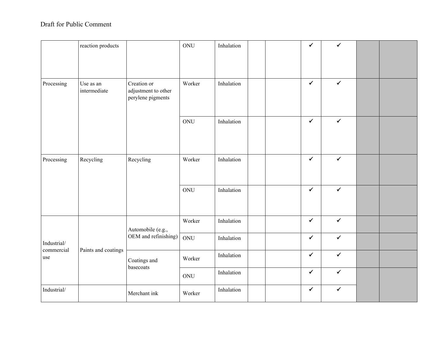## Draft for Public Comment

|                           | reaction products         |                                                         | ONU    | Inhalation |  | $\checkmark$ | $\checkmark$ |  |
|---------------------------|---------------------------|---------------------------------------------------------|--------|------------|--|--------------|--------------|--|
|                           |                           |                                                         |        |            |  |              |              |  |
| Processing                | Use as an<br>intermediate | Creation or<br>adjustment to other<br>perylene pigments | Worker | Inhalation |  | $\checkmark$ | $\checkmark$ |  |
|                           |                           |                                                         | ONU    | Inhalation |  | $\checkmark$ | $\checkmark$ |  |
| Processing                | Recycling                 | Recycling                                               | Worker | Inhalation |  | $\checkmark$ | $\checkmark$ |  |
|                           |                           |                                                         | ONU    | Inhalation |  | $\checkmark$ | $\checkmark$ |  |
| Industrial/<br>commercial | Paints and coatings       | Automobile (e.g.,<br>OEM and refinishing)               | Worker | Inhalation |  | $\checkmark$ | $\checkmark$ |  |
|                           |                           |                                                         | ONU    | Inhalation |  | ✓            | $\checkmark$ |  |
| use                       |                           | Coatings and<br>basecoats                               | Worker | Inhalation |  | $\checkmark$ | $\checkmark$ |  |
|                           |                           |                                                         | ONU    | Inhalation |  | ✔            | $\checkmark$ |  |
| Industrial/               |                           | Merchant ink                                            | Worker | Inhalation |  | $\checkmark$ | $\checkmark$ |  |